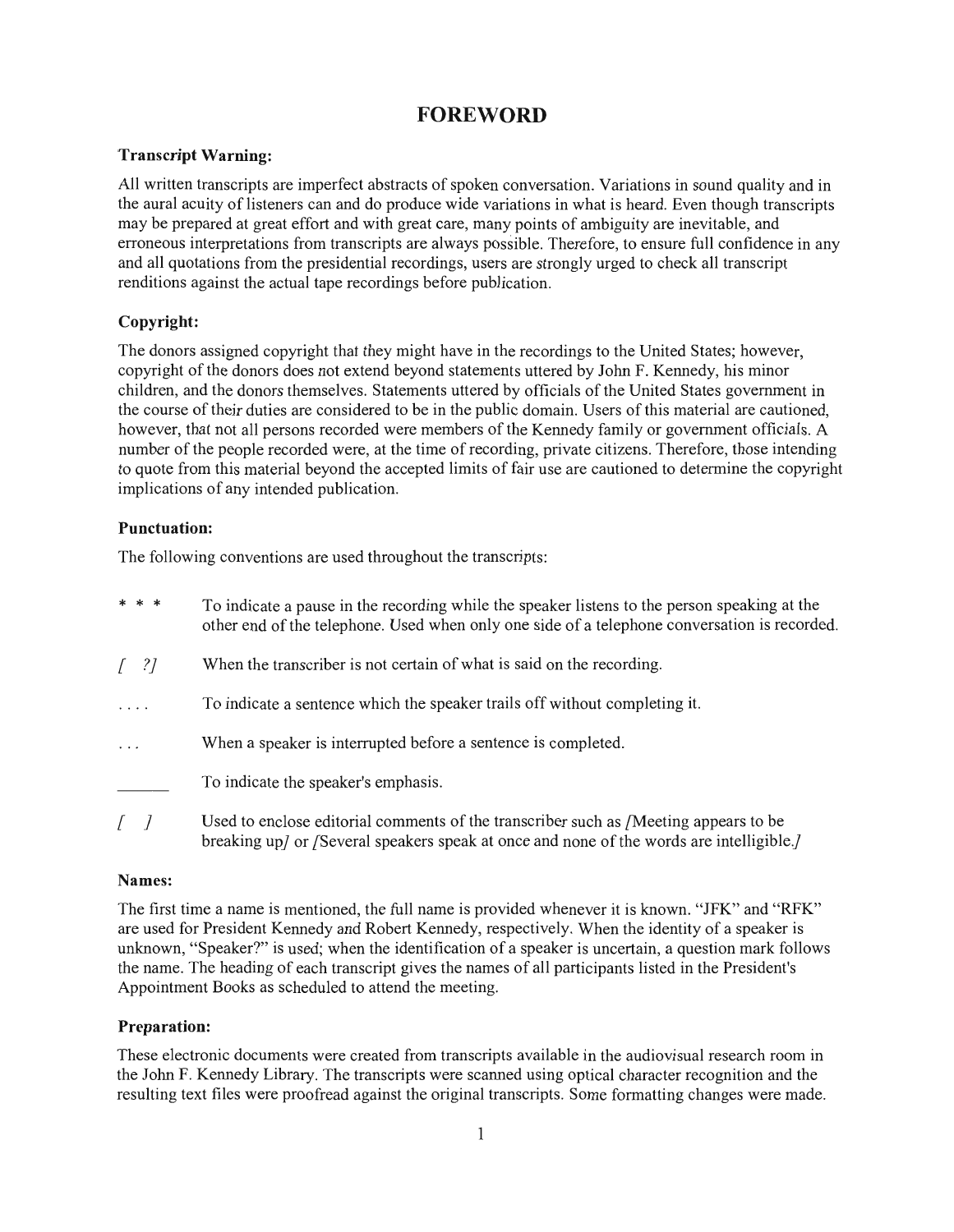## **FOREWORD**

#### **Transcript Warning:**

All written transcripts are imperfect abstracts of spoken conversation. Variations in sound quality and in the aural acuity of listeners can and do produce wide variations in what is heard. Even though transcripts may be prepared at great effort and with great care, many points of ambiguity are inevitable, and erroneous interpretations from transcripts are always possible. Therefore, to ensure full confidence in any and all quotations from the presidential recordings, users are strongly urged to check all transcript renditions against the actual tape recordings before publication.

### Copyright:

The donors assigned copyright that they might have in the recordings to the United States; however, copyright of the donors does not extend beyond statements uttered by John F. Kennedy, his minor children, and the donors themselves. Statements uttered by officials of the United States government in the course of their duties are considered to be in the public domain. Users of this material are cautioned. however, that not all persons recorded were members of the Kennedy family or government officials. A number of the people recorded were, at the time of recording, private citizens. Therefore, those intending to quote from this material beyond the accepted limits of fair use are cautioned to determine the copyright implications of any intended publication.

#### **Punctuation:**

The following conventions are used throughout the transcripts:

| * * *                             | To indicate a pause in the recording while the speaker listens to the person speaking at the<br>other end of the telephone. Used when only one side of a telephone conversation is recorded. |
|-----------------------------------|----------------------------------------------------------------------------------------------------------------------------------------------------------------------------------------------|
| $\begin{bmatrix} 2 \end{bmatrix}$ | When the transcriber is not certain of what is said on the recording.                                                                                                                        |
| .                                 | To indicate a sentence which the speaker trails off without completing it.                                                                                                                   |
| $\cdots$                          | When a speaker is interrupted before a sentence is completed.                                                                                                                                |
|                                   | To indicate the speaker's emphasis.                                                                                                                                                          |
|                                   | Used to enclose editorial comments of the transcriber such as /Meeting appears to be                                                                                                         |

breaking up/ or /Several speakers speak at once and none of the words are intelligible.

#### Names:

The first time a name is mentioned, the full name is provided whenever it is known. "JFK" and "RFK" are used for President Kennedy and Robert Kennedy, respectively. When the identity of a speaker is unknown, "Speaker?" is used; when the identification of a speaker is uncertain, a question mark follows the name. The heading of each transcript gives the names of all participants listed in the President's Appointment Books as scheduled to attend the meeting.

#### **Preparation:**

These electronic documents were created from transcripts available in the audiovisual research room in the John F. Kennedy Library. The transcripts were scanned using optical character recognition and the resulting text files were proofread against the original transcripts. Some formatting changes were made.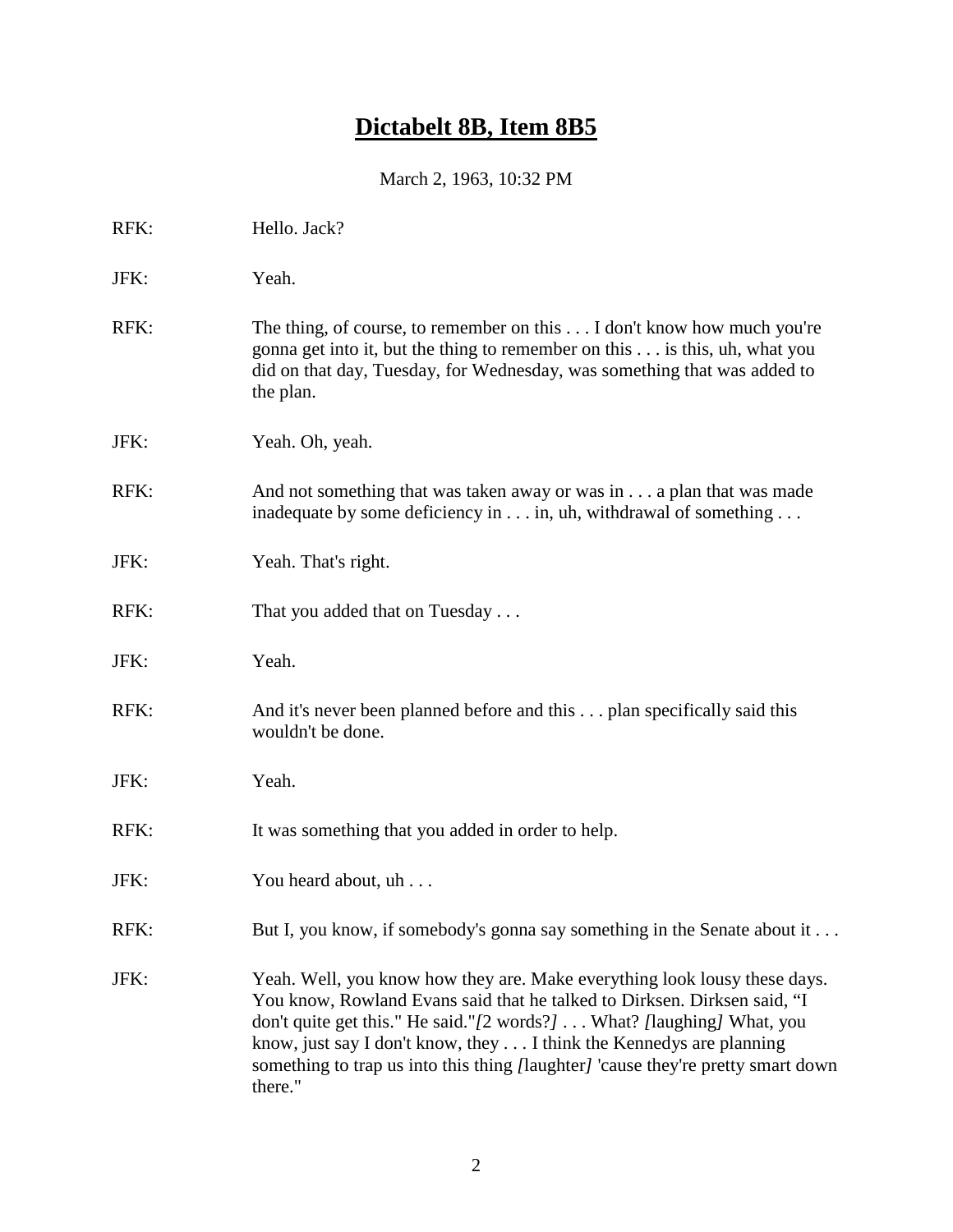# **Dictabelt 8B, Item 8B5**

March 2, 1963, 10:32 PM

| RFK: | Hello. Jack?                                                                                                                                                                                                                                                                                                                                                                                                |
|------|-------------------------------------------------------------------------------------------------------------------------------------------------------------------------------------------------------------------------------------------------------------------------------------------------------------------------------------------------------------------------------------------------------------|
| JFK: | Yeah.                                                                                                                                                                                                                                                                                                                                                                                                       |
| RFK: | The thing, of course, to remember on this $\dots$ I don't know how much you're<br>gonna get into it, but the thing to remember on this is this, uh, what you<br>did on that day, Tuesday, for Wednesday, was something that was added to<br>the plan.                                                                                                                                                       |
| JFK: | Yeah. Oh, yeah.                                                                                                                                                                                                                                                                                                                                                                                             |
| RFK: | And not something that was taken away or was in a plan that was made<br>inadequate by some deficiency in in, uh, withdrawal of something                                                                                                                                                                                                                                                                    |
| JFK: | Yeah. That's right.                                                                                                                                                                                                                                                                                                                                                                                         |
| RFK: | That you added that on Tuesday                                                                                                                                                                                                                                                                                                                                                                              |
| JFK: | Yeah.                                                                                                                                                                                                                                                                                                                                                                                                       |
| RFK: | And it's never been planned before and this plan specifically said this<br>wouldn't be done.                                                                                                                                                                                                                                                                                                                |
| JFK: | Yeah.                                                                                                                                                                                                                                                                                                                                                                                                       |
| RFK: | It was something that you added in order to help.                                                                                                                                                                                                                                                                                                                                                           |
| JFK: | You heard about, uh                                                                                                                                                                                                                                                                                                                                                                                         |
| RFK: | But I, you know, if somebody's gonna say something in the Senate about it                                                                                                                                                                                                                                                                                                                                   |
| JFK: | Yeah. Well, you know how they are. Make everything look lousy these days.<br>You know, Rowland Evans said that he talked to Dirksen. Dirksen said, "I<br>don't quite get this." He said."/2 words?] What? [laughing] What, you<br>know, just say I don't know, they I think the Kennedys are planning<br>something to trap us into this thing <i>[laughter]</i> 'cause they're pretty smart down<br>there." |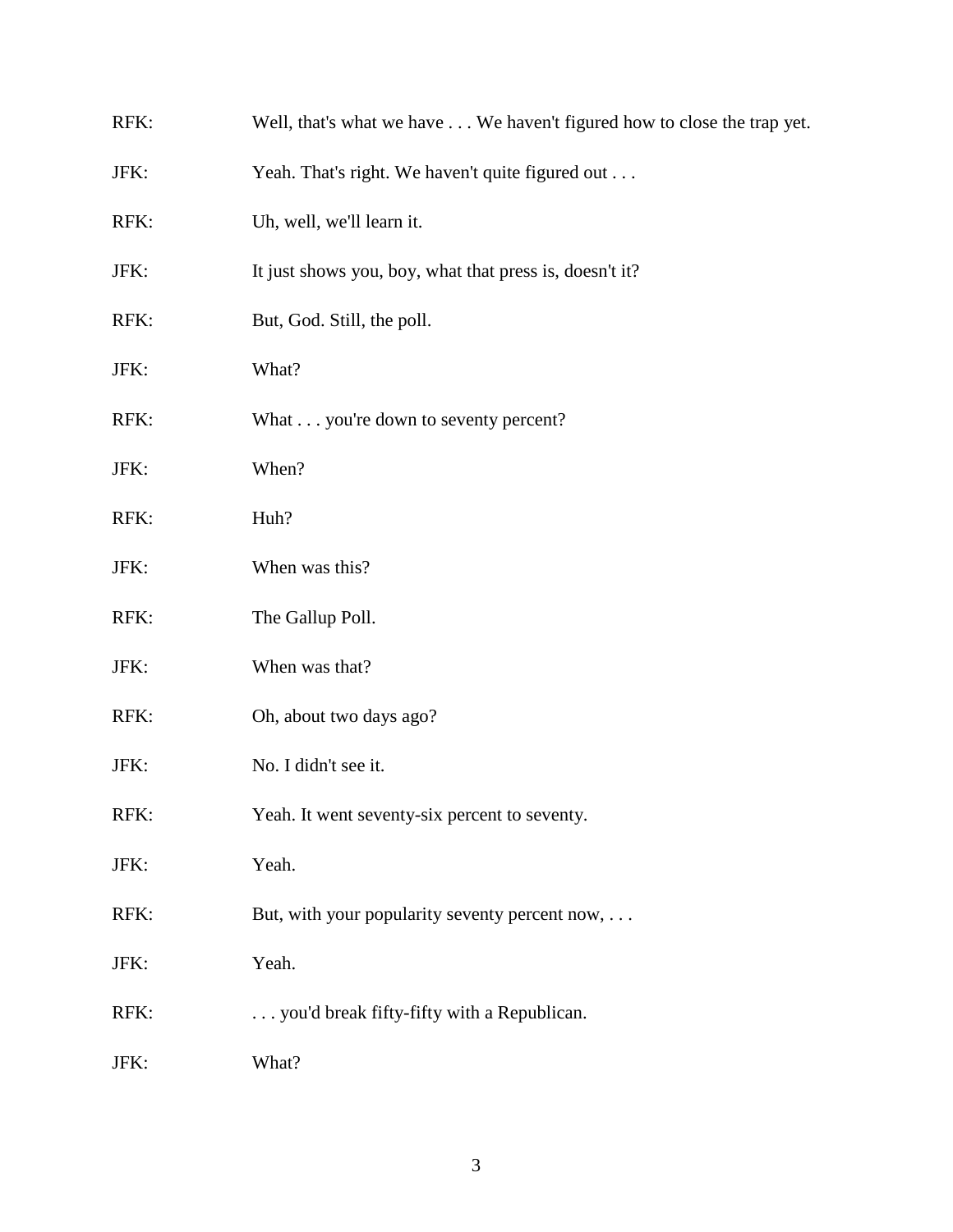| RFK: | Well, that's what we have We haven't figured how to close the trap yet. |
|------|-------------------------------------------------------------------------|
| JFK: | Yeah. That's right. We haven't quite figured out                        |
| RFK: | Uh, well, we'll learn it.                                               |
| JFK: | It just shows you, boy, what that press is, doesn't it?                 |
| RFK: | But, God. Still, the poll.                                              |
| JFK: | What?                                                                   |
| RFK: | What you're down to seventy percent?                                    |
| JFK: | When?                                                                   |
| RFK: | Huh?                                                                    |
| JFK: | When was this?                                                          |
| RFK: | The Gallup Poll.                                                        |
| JFK: | When was that?                                                          |
| RFK: | Oh, about two days ago?                                                 |
| JFK: | No. I didn't see it.                                                    |
| RFK: | Yeah. It went seventy-six percent to seventy.                           |
| JFK: | Yeah.                                                                   |
| RFK: | But, with your popularity seventy percent now, $\dots$                  |
| JFK: | Yeah.                                                                   |
| RFK: | you'd break fifty-fifty with a Republican.                              |
| JFK: | What?                                                                   |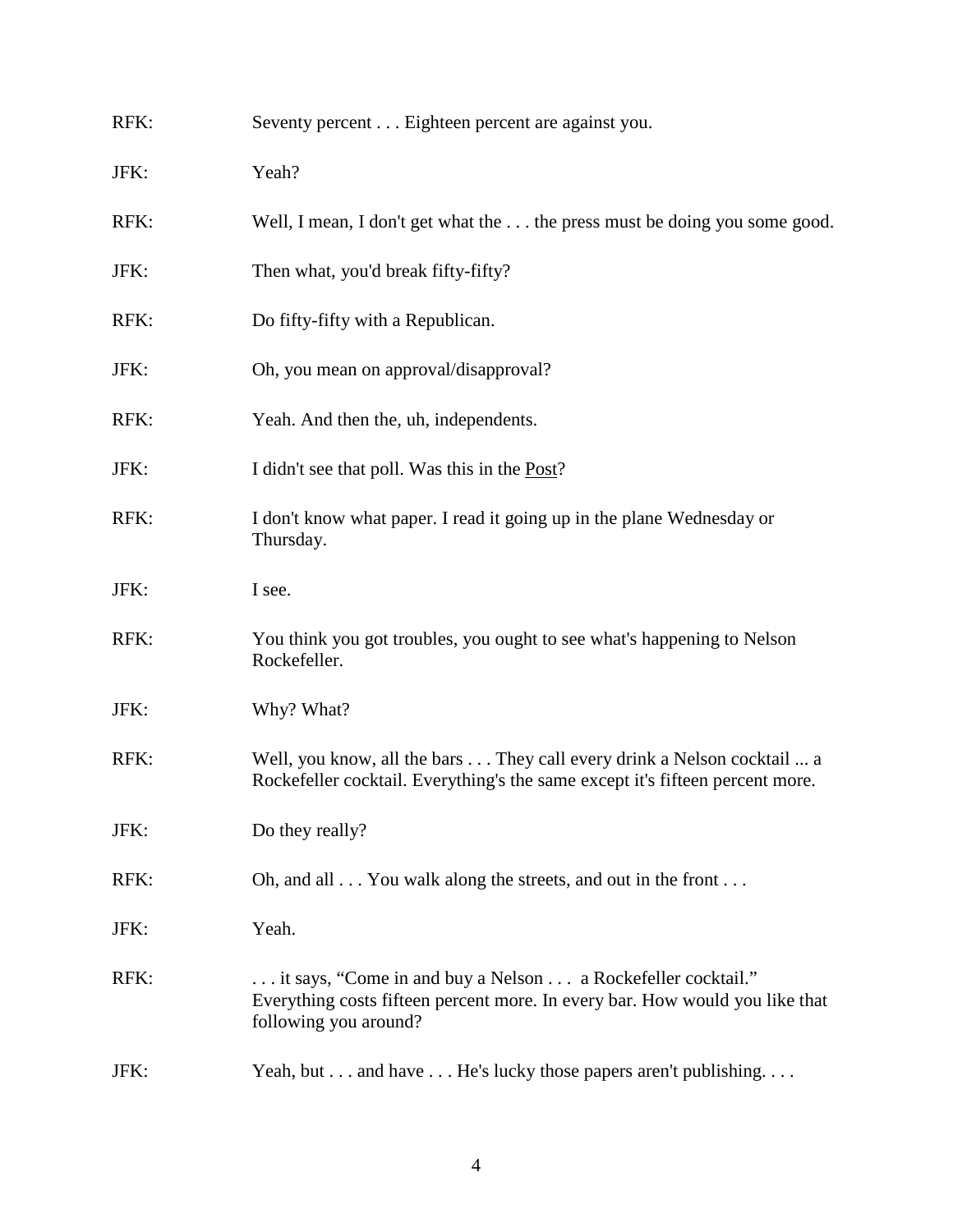| RFK: | Seventy percent Eighteen percent are against you.                                                                                                                     |
|------|-----------------------------------------------------------------------------------------------------------------------------------------------------------------------|
| JFK: | Yeah?                                                                                                                                                                 |
| RFK: | Well, I mean, I don't get what the  the press must be doing you some good.                                                                                            |
| JFK: | Then what, you'd break fifty-fifty?                                                                                                                                   |
| RFK: | Do fifty-fifty with a Republican.                                                                                                                                     |
| JFK: | Oh, you mean on approval/disapproval?                                                                                                                                 |
| RFK: | Yeah. And then the, uh, independents.                                                                                                                                 |
| JFK: | I didn't see that poll. Was this in the <u>Post</u> ?                                                                                                                 |
| RFK: | I don't know what paper. I read it going up in the plane Wednesday or<br>Thursday.                                                                                    |
| JFK: | I see.                                                                                                                                                                |
| RFK: | You think you got troubles, you ought to see what's happening to Nelson<br>Rockefeller.                                                                               |
| JFK: | Why? What?                                                                                                                                                            |
| RFK: | Well, you know, all the bars They call every drink a Nelson cocktail  a<br>Rockefeller cocktail. Everything's the same except it's fifteen percent more.              |
| JFK: | Do they really?                                                                                                                                                       |
| RFK: | Oh, and all You walk along the streets, and out in the front                                                                                                          |
| JFK: | Yeah.                                                                                                                                                                 |
| RFK: | it says, "Come in and buy a Nelson  a Rockefeller cocktail."<br>Everything costs fifteen percent more. In every bar. How would you like that<br>following you around? |
| JFK: | Yeah, but and have He's lucky those papers aren't publishing.                                                                                                         |